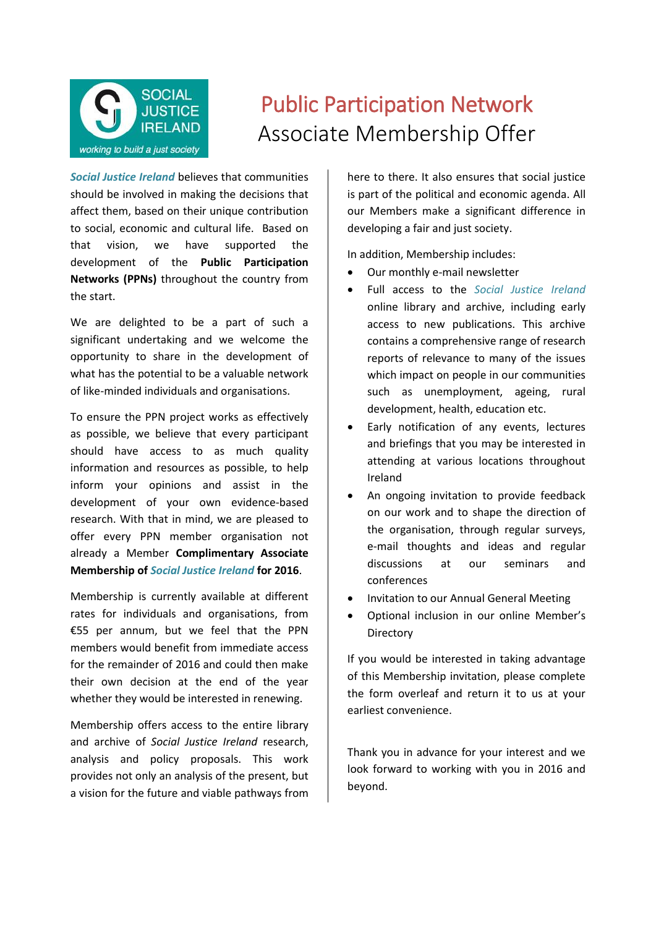

## Public Participation Network Associate Membership Offer

*Social Justice Ireland* believes that communities should be involved in making the decisions that affect them, based on their unique contribution to social, economic and cultural life. Based on that vision, we have supported the development of the **Public Participation Networks (PPNs)** throughout the country from the start.

We are delighted to be a part of such a significant undertaking and we welcome the opportunity to share in the development of what has the potential to be a valuable network of like-minded individuals and organisations.

To ensure the PPN project works as effectively as possible, we believe that every participant should have access to as much quality information and resources as possible, to help inform your opinions and assist in the development of your own evidence-based research. With that in mind, we are pleased to offer every PPN member organisation not already a Member **Complimentary Associate Membership of** *Social Justice Ireland* **for 2016**.

Membership is currently available at different rates for individuals and organisations, from €55 per annum, but we feel that the PPN members would benefit from immediate access for the remainder of 2016 and could then make their own decision at the end of the year whether they would be interested in renewing.

Membership offers access to the entire library and archive of *Social Justice Ireland* research, analysis and policy proposals. This work provides not only an analysis of the present, but a vision for the future and viable pathways from here to there. It also ensures that social justice is part of the political and economic agenda. All our Members make a significant difference in developing a fair and just society.

In addition, Membership includes:

- Our monthly e-mail newsletter
- Full access to the *Social Justice Ireland* online library and archive, including early access to new publications. This archive contains a comprehensive range of research reports of relevance to many of the issues which impact on people in our communities such as unemployment, ageing, rural development, health, education etc.
- Early notification of any events, lectures and briefings that you may be interested in attending at various locations throughout Ireland
- An ongoing invitation to provide feedback on our work and to shape the direction of the organisation, through regular surveys, e-mail thoughts and ideas and regular discussions at our seminars and conferences
- Invitation to our Annual General Meeting
- Optional inclusion in our online Member's **Directory**

If you would be interested in taking advantage of this Membership invitation, please complete the form overleaf and return it to us at your earliest convenience.

Thank you in advance for your interest and we look forward to working with you in 2016 and beyond.